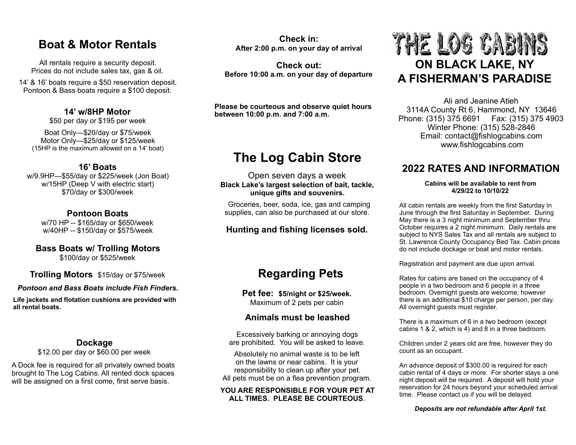### **Boat & Motor Rentals**

All rentals require a security deposit. Prices do not include sales tax, gas & oil.

14' & 16' boats require a \$50 reservation deposit. Pontoon & Bass boats require a \$100 deposit.

### **14' w/8HP Motor**

\$50 per day or \$195 per week

Boat Only—\$20/day or \$75/week Motor Only—\$25/day or \$125/week (15HP is the maximum allowed on a 14' boat)

### **16' Boats**

w/9.9HP—\$55/day or \$225/week (Jon Boat) w/15HP (Deep V with electric start) \$70/day or \$300/week

### **Pontoon Boats**

w/70 HP -- \$165/day or \$650/week w/40HP -- \$150/day or \$575/week

## **Bass Boats w/ Trolling Motors**

\$100/day or \$525/week

### **Trolling Motors** \$15/day or \$75/week

*Pontoon and Bass Boats include Fish Finders.* 

**Life jackets and flotation cushions are provided with all rental boats.**

### **Dockage**

\$12.00 per day or \$60.00 per week

A Dock fee is required for all privately owned boats brought to The Log Cabins. All rented dock spaces will be assigned on a first come, first serve basis.

**Check in: After 2:00 p.m. on your day of arrival** 

**Check out: Before 10:00 a.m. on your day of departure** 

**Please be courteous and observe quiet hours between 10:00 p.m. and 7:00 a.m.** 

## **The Log Cabin Store**

Open seven days a week **Black Lake's largest selection of bait, tackle, unique gifts and souvenirs.** 

Groceries, beer, soda, ice, gas and camping supplies, can also be purchased at our store.

### **Hunting and fishing licenses sold.**

## **Regarding Pets**

**Pet fee: \$5/night or \$25/week.**  Maximum of 2 pets per cabin

### **Animals must be leashed**

Excessively barking or annoying dogs are prohibited. You will be asked to leave.

Absolutely no animal waste is to be left on the lawns or near cabins. It is your responsibility to clean up after your pet. All pets must be on a flea prevention program.

#### **YOU ARE RESPONSIBLE FOR YOUR PET AT ALL TIMES. PLEASE BE COURTEOUS**.

# THE LOG CABINS **ON BLACK LAKE, NY A FISHERMAN'S PARADISE**

Ali and Jeanine Atieh 3114A County Rt 6, Hammond, NY 13646 Phone: (315) 375 6691 Fax: (315) 375 4903 Winter Phone: (315) 528-2846 Email: contact@fishlogcabins.com www.fishlogcabins.com

### **2022 RATES AND INFORMATION**

#### **Cabins will be available to rent from 4/29/22 to 10/10/22**

All cabin rentals are weekly from the first Saturday in June through the first Saturday in September. During May there is a 3 night minimum and September thru October requires a 2 night minimum. Daily rentals are subject to NYS Sales Tax and all rentals are subject to St. Lawrence County Occupancy Bed Tax. Cabin prices do not include dockage or boat and motor rentals.

Registration and payment are due upon arrival.

Rates for cabins are based on the occupancy of 4 people in a two bedroom and 6 people in a three bedroom. Overnight guests are welcome; however there is an additional \$10 charge per person, per day. All overnight guests must register.

There is a maximum of 6 in a two bedroom (except cabins 1 & 2, which is 4) and 8 in a three bedroom.

Children under 2 years old are free, however they do count as an occupant.

An advance deposit of \$300.00 is required for each cabin rental of 4 days or more. For shorter stays a one night deposit will be required. A deposit will hold your reservation for 24 hours beyond your scheduled arrival time. Please contact us if you will be delayed.

### *Deposits are not refundable after April 1st.*